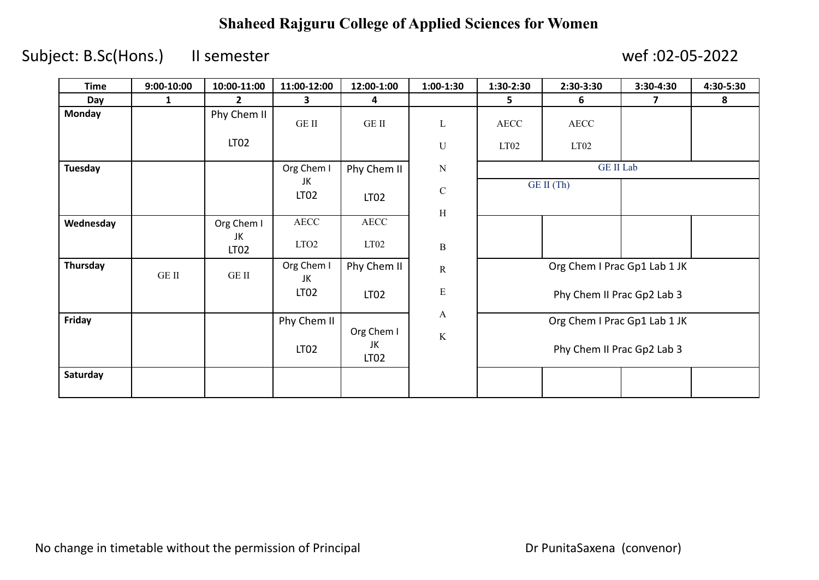## **Shaheed Rajguru College of Applied Sciences for Women**

Subject: B.Sc(Hons.) II semester wef :02-05-2022

| <b>Time</b>    | $9:00-10:00$ | 10:00-11:00            | 11:00-12:00            | 12:00-1:00                           | $1:00-1:30$      | 1:30-2:30                                                  | 2:30-3:30   | 3:30-4:30               | 4:30-5:30 |
|----------------|--------------|------------------------|------------------------|--------------------------------------|------------------|------------------------------------------------------------|-------------|-------------------------|-----------|
| Day            | $\mathbf{1}$ | $\mathbf{2}$           | 3                      | $\overline{\mathbf{4}}$              |                  | 5                                                          | 6           | $\overline{\mathbf{z}}$ | 8         |
| <b>Monday</b>  |              | Phy Chem II            | <b>GE II</b>           | <b>GE II</b>                         | L                | AECC                                                       | <b>AECC</b> |                         |           |
|                |              | LT <sub>02</sub>       |                        |                                      | $\mathbf U$      | LT <sub>02</sub>                                           | LT02        |                         |           |
| <b>Tuesday</b> |              |                        | Org Chem I             | Phy Chem II                          | ${\bf N}$        | <b>GE II Lab</b>                                           |             |                         |           |
|                |              |                        | JK<br>LT <sub>02</sub> | LT <sub>02</sub>                     | $\mathbf C$<br>H | GE II (Th)                                                 |             |                         |           |
| Wednesday      |              | Org Chem I             | $\rm{AECC}$            | AECC                                 |                  |                                                            |             |                         |           |
|                |              | JK<br>LT <sub>02</sub> | LTO <sub>2</sub>       | LT02                                 | $\mathbf B$      |                                                            |             |                         |           |
| Thursday       | $GE$ $\Pi$   | GE II                  | Org Chem I<br>JK       | Phy Chem II                          | $\mathbf R$      | Org Chem I Prac Gp1 Lab 1 JK                               |             |                         |           |
|                |              |                        | LT <sub>02</sub>       | <b>LT02</b>                          | ${\bf E}$        | Phy Chem II Prac Gp2 Lab 3                                 |             |                         |           |
| Friday         |              |                        | Phy Chem II            |                                      | $\mathbf{A}$     | Org Chem I Prac Gp1 Lab 1 JK<br>Phy Chem II Prac Gp2 Lab 3 |             |                         |           |
|                |              |                        | LT <sub>02</sub>       | Org Chem I<br>JK<br>LT <sub>02</sub> | $\rm K$          |                                                            |             |                         |           |
| Saturday       |              |                        |                        |                                      |                  |                                                            |             |                         |           |